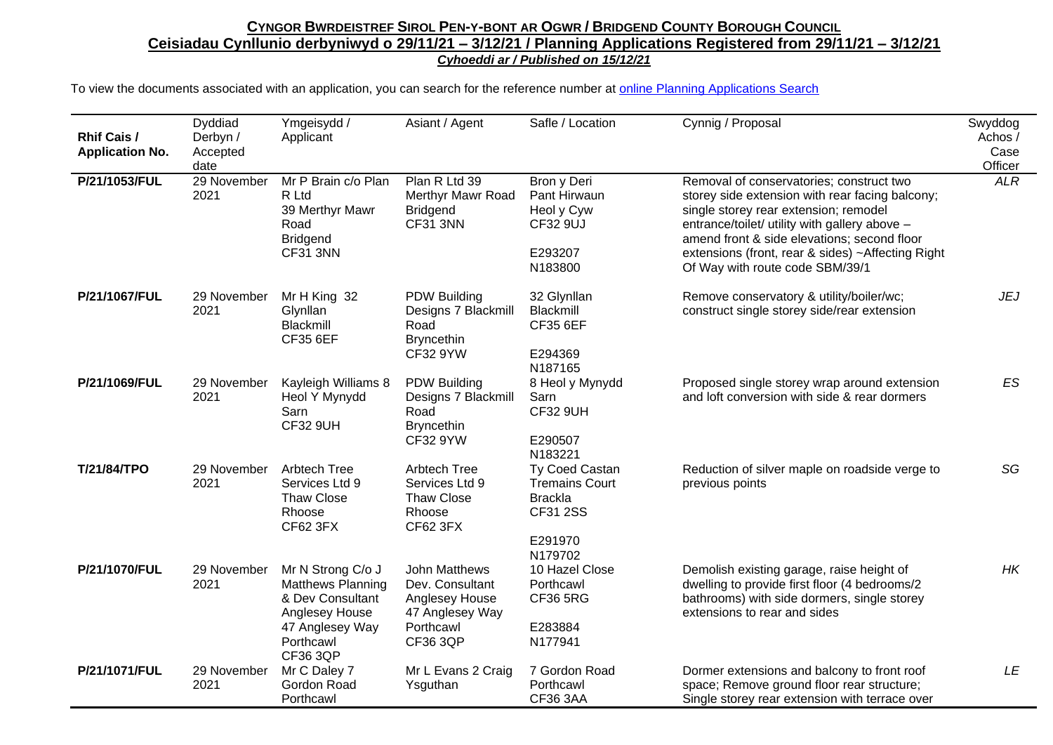| <b>Rhif Cais /</b><br><b>Application No.</b> | Dyddiad<br>Derbyn /<br>Accepted<br>date | Ymgeisydd /<br>Applicant                                                                                                        | Asiant / Agent                                                                                        | Safle / Location                                                                                   | Cynnig / Proposal                                                                                                                                                                                                                                                                                                            | Swyddog<br>Achos /<br>Case<br>Officer |
|----------------------------------------------|-----------------------------------------|---------------------------------------------------------------------------------------------------------------------------------|-------------------------------------------------------------------------------------------------------|----------------------------------------------------------------------------------------------------|------------------------------------------------------------------------------------------------------------------------------------------------------------------------------------------------------------------------------------------------------------------------------------------------------------------------------|---------------------------------------|
| P/21/1053/FUL                                | 29 November<br>2021                     | Mr P Brain c/o Plan<br>R Ltd<br>39 Merthyr Mawr<br>Road<br><b>Bridgend</b><br><b>CF31 3NN</b>                                   | Plan R Ltd 39<br>Merthyr Mawr Road<br><b>Bridgend</b><br><b>CF31 3NN</b>                              | Bron y Deri<br>Pant Hirwaun<br>Heol y Cyw<br>CF32 9UJ<br>E293207<br>N183800                        | Removal of conservatories; construct two<br>storey side extension with rear facing balcony;<br>single storey rear extension; remodel<br>entrance/toilet/ utility with gallery above -<br>amend front & side elevations; second floor<br>extensions (front, rear & sides) ~Affecting Right<br>Of Way with route code SBM/39/1 | <b>ALR</b>                            |
| P/21/1067/FUL                                | 29 November<br>2021                     | Mr H King 32<br>Glynllan<br>Blackmill<br><b>CF35 6EF</b>                                                                        | <b>PDW Building</b><br>Designs 7 Blackmill<br>Road<br><b>Bryncethin</b><br>CF32 9YW                   | 32 Glynllan<br>Blackmill<br><b>CF35 6EF</b><br>E294369<br>N187165                                  | Remove conservatory & utility/boiler/wc;<br>construct single storey side/rear extension                                                                                                                                                                                                                                      | <b>JEJ</b>                            |
| P/21/1069/FUL                                | 29 November<br>2021                     | Kayleigh Williams 8<br>Heol Y Mynydd<br>Sarn<br><b>CF32 9UH</b>                                                                 | <b>PDW Building</b><br>Designs 7 Blackmill<br>Road<br><b>Bryncethin</b><br><b>CF32 9YW</b>            | 8 Heol y Mynydd<br>Sarn<br><b>CF32 9UH</b><br>E290507<br>N183221                                   | Proposed single storey wrap around extension<br>and loft conversion with side & rear dormers                                                                                                                                                                                                                                 | <b>ES</b>                             |
| <b>T/21/84/TPO</b>                           | 29 November<br>2021                     | <b>Arbtech Tree</b><br>Services Ltd 9<br><b>Thaw Close</b><br>Rhoose<br>CF62 3FX                                                | <b>Arbtech Tree</b><br>Services Ltd 9<br><b>Thaw Close</b><br>Rhoose<br><b>CF62 3FX</b>               | Ty Coed Castan<br><b>Tremains Court</b><br><b>Brackla</b><br><b>CF31 2SS</b><br>E291970<br>N179702 | Reduction of silver maple on roadside verge to<br>previous points                                                                                                                                                                                                                                                            | SG                                    |
| P/21/1070/FUL                                | 29 November<br>2021                     | Mr N Strong C/o J<br><b>Matthews Planning</b><br>& Dev Consultant<br>Anglesey House<br>47 Anglesey Way<br>Porthcawl<br>CF36 3QP | John Matthews<br>Dev. Consultant<br>Anglesey House<br>47 Anglesey Way<br>Porthcawl<br><b>CF36 3QP</b> | 10 Hazel Close<br>Porthcawl<br><b>CF36 5RG</b><br>E283884<br>N177941                               | Demolish existing garage, raise height of<br>dwelling to provide first floor (4 bedrooms/2<br>bathrooms) with side dormers, single storey<br>extensions to rear and sides                                                                                                                                                    | HK                                    |
| P/21/1071/FUL                                | 29 November<br>2021                     | Mr C Daley 7<br>Gordon Road<br>Porthcawl                                                                                        | Mr L Evans 2 Craig<br>Ysguthan                                                                        | 7 Gordon Road<br>Porthcawl<br><b>CF36 3AA</b>                                                      | Dormer extensions and balcony to front roof<br>space; Remove ground floor rear structure;<br>Single storey rear extension with terrace over                                                                                                                                                                                  | LE                                    |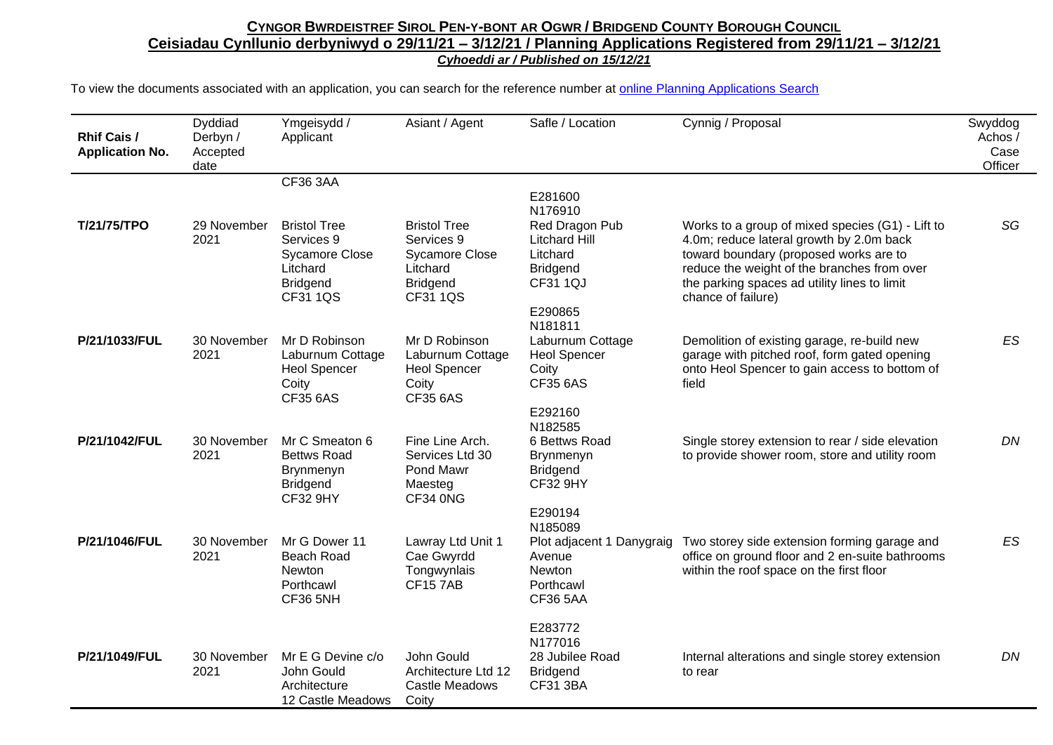| <b>Rhif Cais /</b><br><b>Application No.</b> | Dyddiad<br>Derbyn /<br>Accepted<br>date | Ymgeisydd /<br>Applicant                                                                                     | Asiant / Agent                                                                                        | Safle / Location                                                                                               | Cynnig / Proposal                                                                                                                                                                                                                                           | Swyddog<br>Achos/<br>Case<br>Officer |
|----------------------------------------------|-----------------------------------------|--------------------------------------------------------------------------------------------------------------|-------------------------------------------------------------------------------------------------------|----------------------------------------------------------------------------------------------------------------|-------------------------------------------------------------------------------------------------------------------------------------------------------------------------------------------------------------------------------------------------------------|--------------------------------------|
|                                              |                                         | <b>CF36 3AA</b>                                                                                              |                                                                                                       |                                                                                                                |                                                                                                                                                                                                                                                             |                                      |
|                                              |                                         |                                                                                                              |                                                                                                       | E281600<br>N176910                                                                                             |                                                                                                                                                                                                                                                             |                                      |
| T/21/75/TPO                                  | 29 November<br>2021                     | <b>Bristol Tree</b><br>Services 9<br><b>Sycamore Close</b><br>Litchard<br><b>Bridgend</b><br><b>CF31 1QS</b> | <b>Bristol Tree</b><br>Services 9<br><b>Sycamore Close</b><br>Litchard<br><b>Bridgend</b><br>CF31 1QS | Red Dragon Pub<br><b>Litchard Hill</b><br>Litchard<br><b>Bridgend</b><br><b>CF31 1QJ</b><br>E290865<br>N181811 | Works to a group of mixed species (G1) - Lift to<br>4.0m; reduce lateral growth by 2.0m back<br>toward boundary (proposed works are to<br>reduce the weight of the branches from over<br>the parking spaces ad utility lines to limit<br>chance of failure) | SG                                   |
| P/21/1033/FUL                                | 30 November<br>2021                     | Mr D Robinson<br>Laburnum Cottage<br><b>Heol Spencer</b><br>Coity<br><b>CF35 6AS</b>                         | Mr D Robinson<br>Laburnum Cottage<br><b>Heol Spencer</b><br>Coity<br><b>CF35 6AS</b>                  | Laburnum Cottage<br><b>Heol Spencer</b><br>Coity<br><b>CF35 6AS</b><br>E292160                                 | Demolition of existing garage, re-build new<br>garage with pitched roof, form gated opening<br>onto Heol Spencer to gain access to bottom of<br>field                                                                                                       | ES                                   |
| P/21/1042/FUL                                | 30 November<br>2021                     | Mr C Smeaton 6<br><b>Bettws Road</b><br>Brynmenyn<br><b>Bridgend</b><br><b>CF32 9HY</b>                      | Fine Line Arch.<br>Services Ltd 30<br>Pond Mawr<br>Maesteg<br>CF34 0NG                                | N182585<br>6 Bettws Road<br><b>Brynmenyn</b><br><b>Bridgend</b><br><b>CF32 9HY</b><br>E290194                  | Single storey extension to rear / side elevation<br>to provide shower room, store and utility room                                                                                                                                                          | DN                                   |
| P/21/1046/FUL                                | 30 November<br>2021                     | Mr G Dower 11<br><b>Beach Road</b><br>Newton<br>Porthcawl<br>CF36 5NH                                        | Lawray Ltd Unit 1<br>Cae Gwyrdd<br>Tongwynlais<br><b>CF157AB</b>                                      | N185089<br>Plot adjacent 1 Danygraig<br>Avenue<br>Newton<br>Porthcawl<br><b>CF36 5AA</b>                       | Two storey side extension forming garage and<br>office on ground floor and 2 en-suite bathrooms<br>within the roof space on the first floor                                                                                                                 | ES                                   |
| P/21/1049/FUL                                | 30 November<br>2021                     | Mr E G Devine c/o<br>John Gould<br>Architecture<br>12 Castle Meadows                                         | John Gould<br>Architecture Ltd 12<br>Castle Meadows<br>Coity                                          | E283772<br>N177016<br>28 Jubilee Road<br><b>Bridgend</b><br><b>CF31 3BA</b>                                    | Internal alterations and single storey extension<br>to rear                                                                                                                                                                                                 | DN                                   |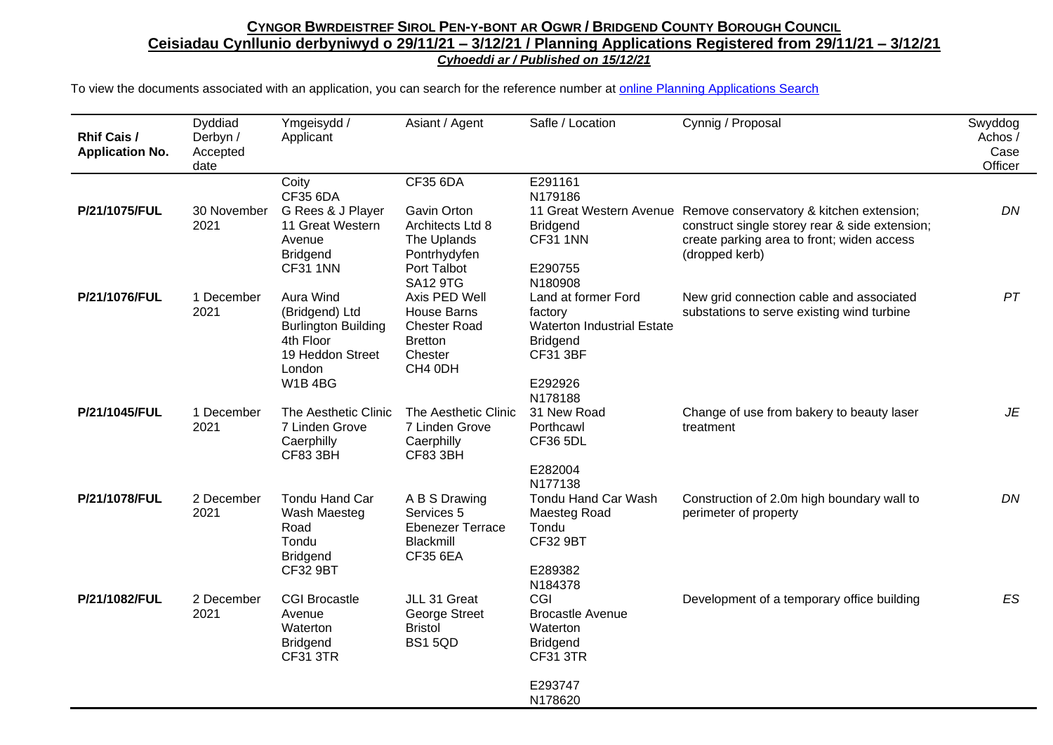| <b>Rhif Cais /</b><br><b>Application No.</b> | Dyddiad<br>Derbyn /<br>Accepted<br>date | Ymgeisydd /<br>Applicant                                                                                          | Asiant / Agent                                                                                                             | Safle / Location                                                                                                                | Cynnig / Proposal                                                                                                                                                                  | Swyddog<br>Achos /<br>Case<br>Officer |
|----------------------------------------------|-----------------------------------------|-------------------------------------------------------------------------------------------------------------------|----------------------------------------------------------------------------------------------------------------------------|---------------------------------------------------------------------------------------------------------------------------------|------------------------------------------------------------------------------------------------------------------------------------------------------------------------------------|---------------------------------------|
| P/21/1075/FUL                                | 30 November<br>2021                     | Coity<br><b>CF35 6DA</b><br>G Rees & J Player<br>11 Great Western<br>Avenue<br><b>Bridgend</b><br><b>CF31 1NN</b> | <b>CF35 6DA</b><br><b>Gavin Orton</b><br>Architects Ltd 8<br>The Uplands<br>Pontrhydyfen<br>Port Talbot<br><b>SA12 9TG</b> | E291161<br>N179186<br><b>Bridgend</b><br><b>CF31 1NN</b><br>E290755<br>N180908                                                  | 11 Great Western Avenue Remove conservatory & kitchen extension;<br>construct single storey rear & side extension;<br>create parking area to front; widen access<br>(dropped kerb) | DN                                    |
| P/21/1076/FUL                                | 1 December<br>2021                      | Aura Wind<br>(Bridgend) Ltd<br><b>Burlington Building</b><br>4th Floor<br>19 Heddon Street<br>London<br>W1B4BG    | Axis PED Well<br>House Barns<br><b>Chester Road</b><br><b>Bretton</b><br>Chester<br>CH4 0DH                                | Land at former Ford<br>factory<br><b>Waterton Industrial Estate</b><br><b>Bridgend</b><br><b>CF31 3BF</b><br>E292926<br>N178188 | New grid connection cable and associated<br>substations to serve existing wind turbine                                                                                             | PT                                    |
| P/21/1045/FUL                                | 1 December<br>2021                      | The Aesthetic Clinic<br>7 Linden Grove<br>Caerphilly<br><b>CF83 3BH</b>                                           | The Aesthetic Clinic<br>7 Linden Grove<br>Caerphilly<br><b>CF83 3BH</b>                                                    | 31 New Road<br>Porthcawl<br><b>CF36 5DL</b><br>E282004<br>N177138                                                               | Change of use from bakery to beauty laser<br>treatment                                                                                                                             | JE                                    |
| P/21/1078/FUL                                | 2 December<br>2021                      | Tondu Hand Car<br>Wash Maesteg<br>Road<br>Tondu<br><b>Bridgend</b><br><b>CF32 9BT</b>                             | A B S Drawing<br>Services 5<br>Ebenezer Terrace<br>Blackmill<br><b>CF35 6EA</b>                                            | Tondu Hand Car Wash<br>Maesteg Road<br>Tondu<br><b>CF32 9BT</b><br>E289382<br>N184378                                           | Construction of 2.0m high boundary wall to<br>perimeter of property                                                                                                                | DN                                    |
| P/21/1082/FUL                                | 2 December<br>2021                      | <b>CGI Brocastle</b><br>Avenue<br>Waterton<br><b>Bridgend</b><br>CF31 3TR                                         | JLL 31 Great<br>George Street<br><b>Bristol</b><br><b>BS1 5QD</b>                                                          | CGI<br><b>Brocastle Avenue</b><br>Waterton<br><b>Bridgend</b><br><b>CF31 3TR</b><br>E293747<br>N178620                          | Development of a temporary office building                                                                                                                                         | ES                                    |